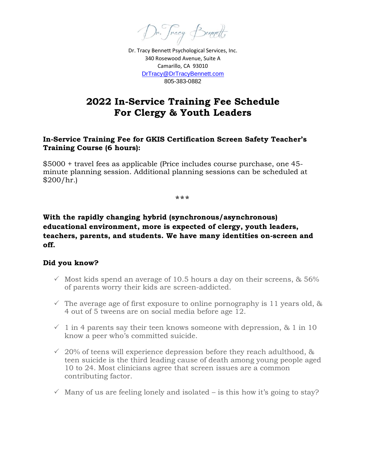Dr. Tracy Benedt

Dr. Tracy Bennett Psychological Services, Inc. 340 Rosewood Avenue, Suite A Camarillo, CA 93010 [DrTracy@DrTracyBennett.com](mailto:DrTracy@DrTracyBennett.com) 805-383-0882

# **2022 In-Service Training Fee Schedule For Clergy & Youth Leaders**

### **In-Service Training Fee for GKIS Certification Screen Safety Teacher's Training Course (6 hours):**

\$5000 + travel fees as applicable (Price includes course purchase, one 45 minute planning session. Additional planning sessions can be scheduled at  $$200/hr.$ 

**\*\*\***

## **With the rapidly changing hybrid (synchronous/asynchronous) educational environment, more is expected of clergy, youth leaders, teachers, parents, and students. We have many identities on-screen and off.**

## **Did you know?**

- $\checkmark$  Most kids spend an average of 10.5 hours a day on their screens, & 56% of parents worry their kids are screen-addicted.
- $\checkmark$  The average age of first exposure to online pornography is 11 years old, & 4 out of 5 tweens are on social media before age 12.
- $\sim$  1 in 4 parents say their teen knows someone with depression, & 1 in 10 know a peer who's committed suicide.
- $\sim$  20% of teens will experience depression before they reach adulthood, & teen suicide is the third leading cause of death among young people aged 10 to 24. Most clinicians agree that screen issues are a common contributing factor.
- $\checkmark$  Many of us are feeling lonely and isolated is this how it's going to stay?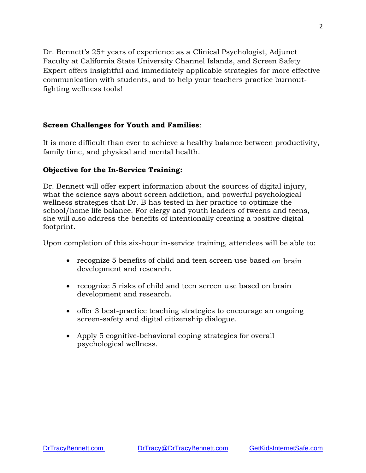Dr. Bennett's 25+ years of experience as a Clinical Psychologist, Adjunct Faculty at California State University Channel Islands, and Screen Safety Expert offers insightful and immediately applicable strategies for more effective communication with students, and to help your teachers practice burnoutfighting wellness tools!

### **Screen Challenges for Youth and Families**:

It is more difficult than ever to achieve a healthy balance between productivity, family time, and physical and mental health.

### **Objective for the In-Service Training:**

Dr. Bennett will offer expert information about the sources of digital injury, what the science says about screen addiction, and powerful psychological wellness strategies that Dr. B has tested in her practice to optimize the school/home life balance. For clergy and youth leaders of tweens and teens, she will also address the benefits of intentionally creating a positive digital footprint.

Upon completion of this six-hour in-service training, attendees will be able to:

- recognize 5 benefits of child and teen screen use based on brain development and research.
- recognize 5 risks of child and teen screen use based on brain development and research.
- offer 3 best-practice teaching strategies to encourage an ongoing screen-safety and digital citizenship dialogue.
- Apply 5 cognitive-behavioral coping strategies for overall psychological wellness.